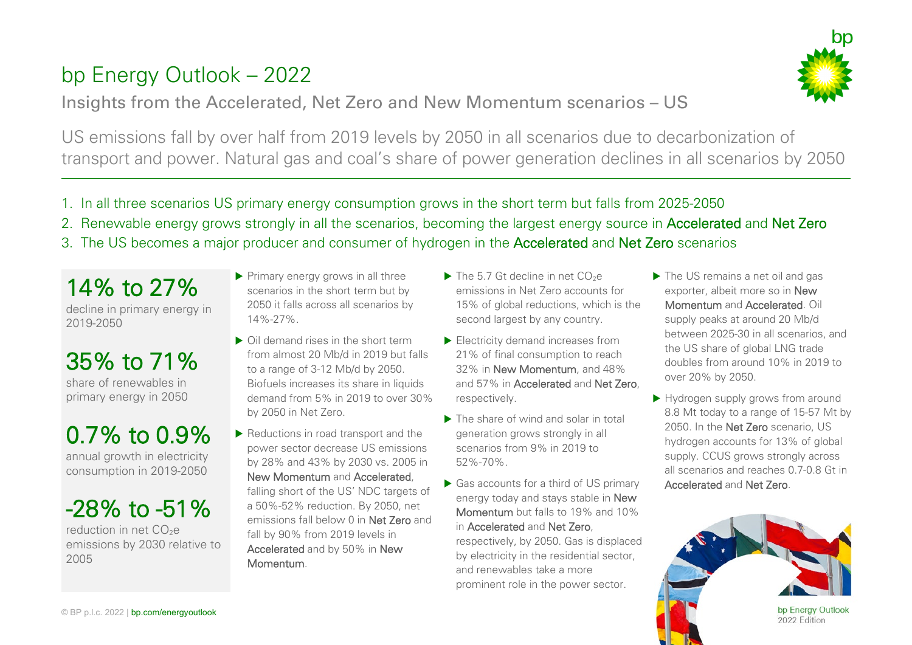## bp Energy Outlook – 2022

#### Insights from the Accelerated, Net Zero and New Momentum scenarios – US



US emissions fall by over half from 2019 levels by 2050 in all scenarios due to decarbonization of transport and power. Natural gas and coal's share of power generation declines in all scenarios by 2050

- 1. In all three scenarios US primary energy consumption grows in the short term but falls from 2025-2050
- 2. Renewable energy grows strongly in all the scenarios, becoming the largest energy source in Accelerated and Net Zero
- 3. The US becomes a major producer and consumer of hydrogen in the Accelerated and Net Zero scenarios

14% to 27% decline in primary energy in 2019-2050

## $35\%$  to  $71\%$ primary energy in 2050

# 0.7% to 0.9%<br>annual growth in electricity

consumption in 2019-2050

## $-28\%$  to  $-51\%$

emissions by 2030 relative to 2005

Primary energy grows in all three scenarios in the short term but by 2050 it falls across all scenarios by 14%-27%.

- ▶ Oil demand rises in the short term from almost 20 Mb/d in 2019 but falls to a range of 3-12 Mb/d by 2050. Biofuels increases its share in liquids demand from 5% in 2019 to over 30% by 2050 in Net Zero.
- $\blacktriangleright$  Reductions in road transport and the power sector decrease US emissions by 28% and 43% by 2030 vs. 2005 in New Momentum and Accelerated, falling short of the US' NDC targets of a 50%-52% reduction. By 2050, net emissions fall below 0 in Net Zero and fall by 90% from 2019 levels in Accelerated and by 50% in New Momentum.
- $\blacktriangleright$  The 5.7 Gt decline in net CO<sub>2</sub>e emissions in Net Zero accounts for 15% of global reductions, which is the second largest by any country.
- Electricity demand increases from 21% of final consumption to reach 32% in New Momentum, and 48% and 57% in Accelerated and Net Zero, respectively.
- ▶ The share of wind and solar in total generation grows strongly in all scenarios from 9% in 2019 to 52%-70%.
- ▶ Gas accounts for a third of US primary energy today and stays stable in New Momentum but falls to 19% and 10% in Accelerated and Net Zero, respectively, by 2050. Gas is displaced by electricity in the residential sector, and renewables take a more prominent role in the power sector.
- ▶ The US remains a net oil and gas exporter, albeit more so in New Momentum and Accelerated. Oil supply peaks at around 20 Mb/d between 2025-30 in all scenarios, and the US share of global LNG trade doubles from around 10% in 2019 to over 20% by 2050.
- Hydrogen supply grows from around 8.8 Mt today to a range of 15-57 Mt by 2050. In the Net Zero scenario, US hydrogen accounts for 13% of global supply. CCUS grows strongly across all scenarios and reaches 0.7-0.8 Gt in Accelerated and Net Zero.